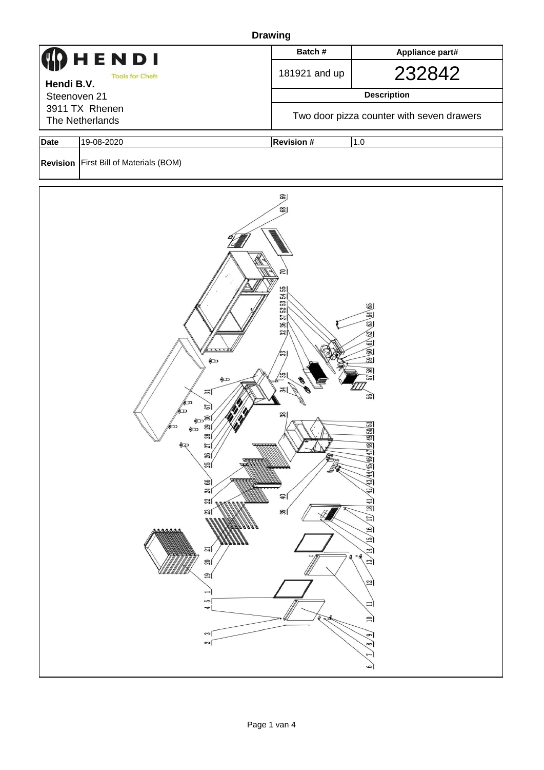|                                   | <b>Drawing</b>                                                                                                                                                                                                                                                 |                                                                                                                   |                                                                                                                                                                                                                                      |  |  |  |  |  |  |  |
|-----------------------------------|----------------------------------------------------------------------------------------------------------------------------------------------------------------------------------------------------------------------------------------------------------------|-------------------------------------------------------------------------------------------------------------------|--------------------------------------------------------------------------------------------------------------------------------------------------------------------------------------------------------------------------------------|--|--|--|--|--|--|--|
| HENDI                             |                                                                                                                                                                                                                                                                | Batch#                                                                                                            | Appliance part#                                                                                                                                                                                                                      |  |  |  |  |  |  |  |
| Hendi B.V.                        | <b>Tools for Chefs</b>                                                                                                                                                                                                                                         | 181921 and up                                                                                                     | 232842                                                                                                                                                                                                                               |  |  |  |  |  |  |  |
| Steenoven 21                      |                                                                                                                                                                                                                                                                | <b>Description</b>                                                                                                |                                                                                                                                                                                                                                      |  |  |  |  |  |  |  |
| 3911 TX Rhenen<br>The Netherlands |                                                                                                                                                                                                                                                                | Two door pizza counter with seven drawers                                                                         |                                                                                                                                                                                                                                      |  |  |  |  |  |  |  |
| <b>Date</b>                       | 19-08-2020                                                                                                                                                                                                                                                     | <b>Revision #</b><br>1.0                                                                                          |                                                                                                                                                                                                                                      |  |  |  |  |  |  |  |
|                                   | Revision   First Bill of Materials (BOM)                                                                                                                                                                                                                       |                                                                                                                   |                                                                                                                                                                                                                                      |  |  |  |  |  |  |  |
|                                   | $\bigoplus$<br>$\bigoplus$<br>의<br>⅏<br>$\Xi$<br>മ്പെടി<br>29<br>םר<br>$\bigoplus$<br>జె<br>$\bigoplus$<br>$\frac{27}{2}$<br>ଞ୍ଜା<br>雙<br>$\mathbb{E}$<br>ജി<br>$\approx$<br>ಇ<br>ಇ∣<br><b>MAAAA</b><br>ಷ∣<br>≈౹<br>$\mathbf{r}$<br>S<br>4<br>$\sim$<br>$\sim$ | ்து<br>152535455<br>36 37<br>$\frac{32}{3}$<br>$\mathbb{E}$<br>$\approx$<br>$\frac{8}{3}$<br>₹<br>Lice<br>음<br>ఇౕ | 60 61 62 63 64 65<br>园<br>$\frac{8}{3}$<br>의<br>ঙ্জী<br>49 50 51<br>43/44/45/46/4748<br>$42^{11}$<br>$\frac{1841}{2}$<br>$\overline{\Pi}$<br><u>(a)</u><br>$\Xi$<br>$\Xi$<br>$\Xi$<br>$^{12}$<br>≔<br>$\equiv$<br>ച<br>$\infty$<br>٩ |  |  |  |  |  |  |  |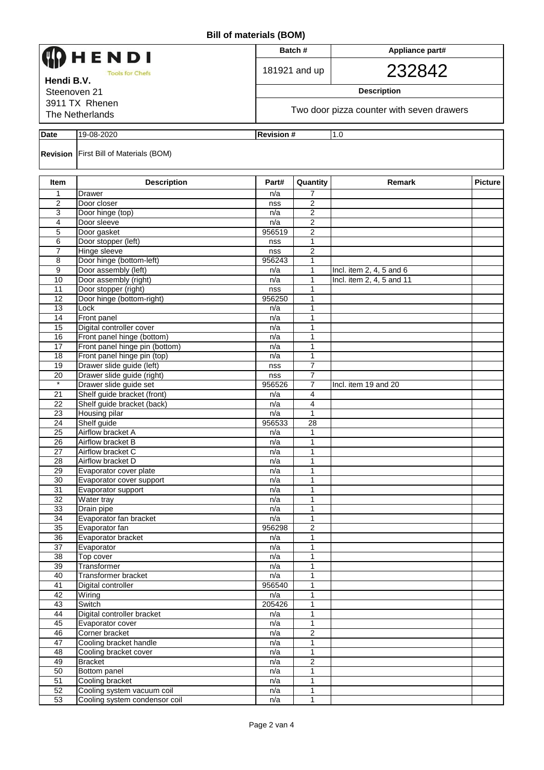| HENDI<br><b>Tools for Chefs</b> |                                                          |               | Batch#                                    | Appliance part#<br>232842 |                |  |  |  |  |  |
|---------------------------------|----------------------------------------------------------|---------------|-------------------------------------------|---------------------------|----------------|--|--|--|--|--|
|                                 |                                                          |               | 181921 and up                             |                           |                |  |  |  |  |  |
| Hendi B.V.<br>Steenoven 21      |                                                          |               |                                           | <b>Description</b>        |                |  |  |  |  |  |
| 3911 TX Rhenen                  |                                                          |               |                                           |                           |                |  |  |  |  |  |
|                                 | The Netherlands                                          |               | Two door pizza counter with seven drawers |                           |                |  |  |  |  |  |
| <b>Date</b>                     | 19-08-2020<br><b>Revision #</b><br>1.0                   |               |                                           |                           |                |  |  |  |  |  |
|                                 | <b>Revision</b> First Bill of Materials (BOM)            |               |                                           |                           |                |  |  |  |  |  |
| Item                            | <b>Description</b>                                       | Part#         | Quantity                                  | Remark                    | <b>Picture</b> |  |  |  |  |  |
| 1                               | Drawer                                                   | n/a           | 7                                         |                           |                |  |  |  |  |  |
| 2                               | Door closer                                              | nss           | $\overline{2}$                            |                           |                |  |  |  |  |  |
| 3                               | Door hinge (top)                                         | n/a           | 2                                         |                           |                |  |  |  |  |  |
| 4                               | Door sleeve                                              | n/a           | 2                                         |                           |                |  |  |  |  |  |
| 5                               | Door gasket                                              | 956519        | 2                                         |                           |                |  |  |  |  |  |
| 6<br>$\overline{7}$             | Door stopper (left)<br><b>Hinge sleeve</b>               | nss<br>nss    | 1<br>$\overline{2}$                       |                           |                |  |  |  |  |  |
| 8                               | Door hinge (bottom-left)                                 | 956243        | 1                                         |                           |                |  |  |  |  |  |
| 9                               | Door assembly (left)                                     | n/a           | 1                                         | Incl. item 2, 4, 5 and 6  |                |  |  |  |  |  |
| 10                              | Door assembly (right)                                    | n/a           | 1                                         | Incl. item 2, 4, 5 and 11 |                |  |  |  |  |  |
| 11                              | Door stopper (right)                                     | nss           | 1                                         |                           |                |  |  |  |  |  |
| 12                              | Door hinge (bottom-right)                                | 956250        | 1                                         |                           |                |  |  |  |  |  |
| 13                              | Lock                                                     | n/a           | 1                                         |                           |                |  |  |  |  |  |
| 14                              | Front panel                                              | n/a           | 1                                         |                           |                |  |  |  |  |  |
| 15                              | Digital controller cover                                 | n/a           | 1                                         |                           |                |  |  |  |  |  |
| 16                              | Front panel hinge (bottom)                               | n/a           | 1                                         |                           |                |  |  |  |  |  |
| 17                              | Front panel hinge pin (bottom)                           | n/a           | 1                                         |                           |                |  |  |  |  |  |
| 18<br>19                        | Front panel hinge pin (top)<br>Drawer slide guide (left) | n/a<br>nss    | 1<br>7                                    |                           |                |  |  |  |  |  |
| 20                              | Drawer slide guide (right)                               | nss           | 7                                         |                           |                |  |  |  |  |  |
| $\star$                         | Drawer slide guide set                                   | 956526        | 7                                         | Incl. item 19 and 20      |                |  |  |  |  |  |
| 21                              | Shelf guide bracket (front)                              | n/a           | 4                                         |                           |                |  |  |  |  |  |
| 22                              | Shelf guide bracket (back)                               | n/a           | $\overline{4}$                            |                           |                |  |  |  |  |  |
| 23                              | <b>Housing pilar</b>                                     | n/a           | 1                                         |                           |                |  |  |  |  |  |
| 24                              | Shelf guide                                              | 956533        | 28                                        |                           |                |  |  |  |  |  |
| $\overline{25}$                 | Airflow bracket A                                        | n/a           | 1                                         |                           |                |  |  |  |  |  |
| $\overline{26}$                 | Airflow bracket B                                        | n/a           | 1                                         |                           |                |  |  |  |  |  |
| 27                              | Airflow bracket C                                        | n/a           | 1                                         |                           |                |  |  |  |  |  |
| 28<br>29                        | Airflow bracket D<br>Evaporator cover plate              | n/a<br>n/a    | 1<br>$\mathbf{1}$                         |                           |                |  |  |  |  |  |
| 30                              | Evaporator cover support                                 | n/a           | 1                                         |                           |                |  |  |  |  |  |
| 31                              | Evaporator support                                       | n/a           | 1                                         |                           |                |  |  |  |  |  |
| $\overline{32}$                 | Water tray                                               | n/a           | 1                                         |                           |                |  |  |  |  |  |
| 33                              | Drain pipe                                               | n/a           | 1                                         |                           |                |  |  |  |  |  |
| $\overline{34}$                 | Evaporator fan bracket                                   | n/a           | $\mathbf{1}$                              |                           |                |  |  |  |  |  |
| 35                              | Evaporator fan                                           | 956298        | $\overline{2}$                            |                           |                |  |  |  |  |  |
| 36                              | Evaporator bracket                                       | n/a           | $\mathbf{1}$                              |                           |                |  |  |  |  |  |
| 37                              | Evaporator                                               | n/a           | 1                                         |                           |                |  |  |  |  |  |
| $\overline{38}$                 | Top cover                                                | n/a           | 1                                         |                           |                |  |  |  |  |  |
| 39                              | Transformer                                              | n/a           | 1                                         |                           |                |  |  |  |  |  |
| 40<br>41                        | Transformer bracket                                      | n/a<br>956540 | 1<br>1                                    |                           |                |  |  |  |  |  |
| 42                              | Digital controller<br>Wiring                             | n/a           | 1                                         |                           |                |  |  |  |  |  |
| 43                              | Switch                                                   | 205426        | 1                                         |                           |                |  |  |  |  |  |
| 44                              | Digital controller bracket                               | n/a           | 1                                         |                           |                |  |  |  |  |  |
| 45                              | Evaporator cover                                         | n/a           | 1                                         |                           |                |  |  |  |  |  |
| 46                              | Corner bracket                                           | n/a           | 2                                         |                           |                |  |  |  |  |  |
| 47                              | Cooling bracket handle                                   | n/a           | 1                                         |                           |                |  |  |  |  |  |
| 48                              | Cooling bracket cover                                    | n/a           | $\mathbf{1}$                              |                           |                |  |  |  |  |  |
| 49                              | <b>Bracket</b>                                           | n/a           | $\overline{2}$                            |                           |                |  |  |  |  |  |
| 50                              | Bottom panel                                             | n/a           | 1                                         |                           |                |  |  |  |  |  |
| 51                              | Cooling bracket                                          | n/a           | 1                                         |                           |                |  |  |  |  |  |
| 52                              | Cooling system vacuum coil                               | n/a           | $\mathbf{1}$                              |                           |                |  |  |  |  |  |
| 53                              | Cooling system condensor coil                            | n/a           | $\mathbf{1}$                              |                           |                |  |  |  |  |  |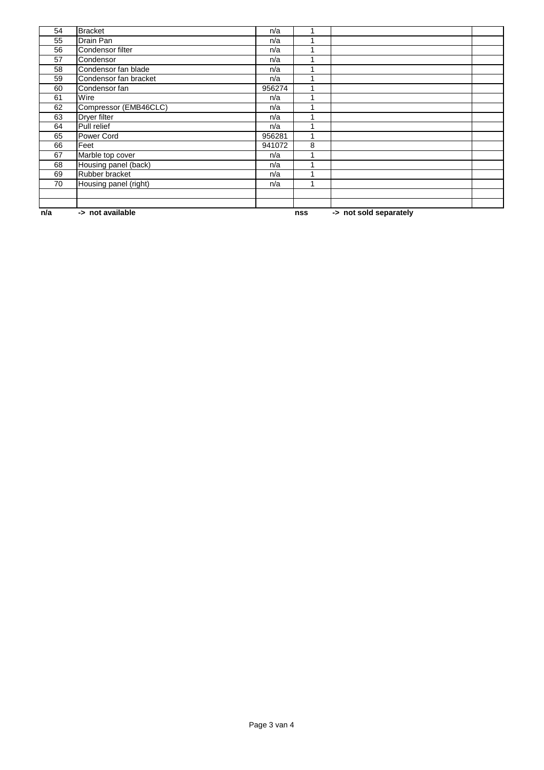| 54  | <b>Bracket</b>        | n/a    |     |                        |  |
|-----|-----------------------|--------|-----|------------------------|--|
| 55  | Drain Pan             | n/a    |     |                        |  |
| 56  | Condensor filter      | n/a    |     |                        |  |
| 57  | Condensor             | n/a    |     |                        |  |
| 58  | Condensor fan blade   | n/a    |     |                        |  |
| 59  | Condensor fan bracket | n/a    |     |                        |  |
| 60  | Condensor fan         | 956274 |     |                        |  |
| 61  | Wire                  | n/a    |     |                        |  |
| 62  | Compressor (EMB46CLC) | n/a    |     |                        |  |
| 63  | Dryer filter          | n/a    |     |                        |  |
| 64  | Pull relief           | n/a    |     |                        |  |
| 65  | Power Cord            | 956281 |     |                        |  |
| 66  | Feet                  | 941072 | 8   |                        |  |
| 67  | Marble top cover      | n/a    |     |                        |  |
| 68  | Housing panel (back)  | n/a    |     |                        |  |
| 69  | Rubber bracket        | n/a    |     |                        |  |
| 70  | Housing panel (right) | n/a    |     |                        |  |
|     |                       |        |     |                        |  |
|     |                       |        |     |                        |  |
| n/a | -> not available      |        | nss | -> not sold separately |  |